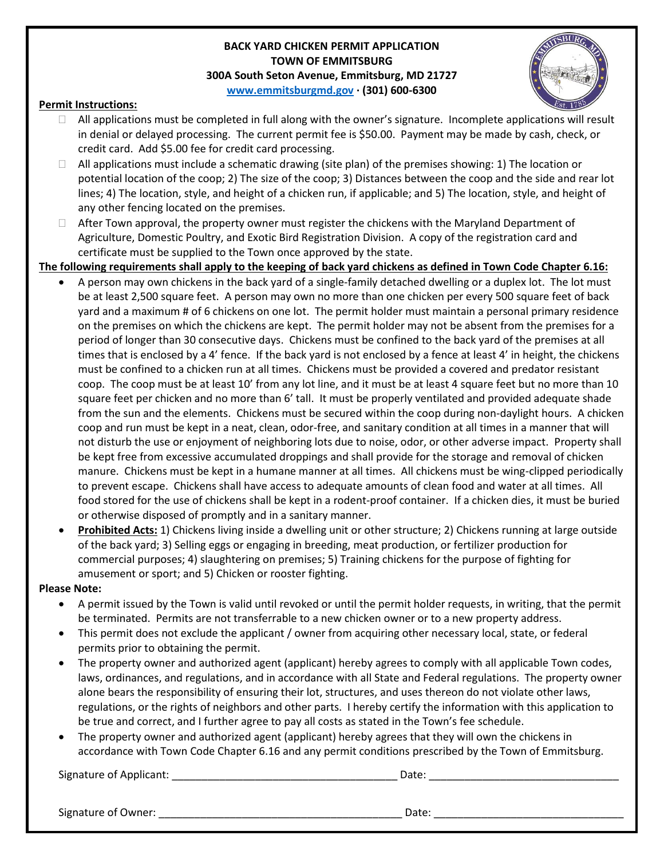## **BACK YARD CHICKEN PERMIT APPLICATION TOWN OF EMMITSBURG 300A South Seton Avenue, Emmitsburg, MD 21727 [www.emmitsburgmd.gov](http://www.emmitsburgmd.gov/) · (301) 600-6300**



## **Permit Instructions:**

- $\Box$  All applications must be completed in full along with the owner's signature. Incomplete applications will result in denial or delayed processing. The current permit fee is \$50.00. Payment may be made by cash, check, or credit card. Add \$5.00 fee for credit card processing.
- $\Box$  All applications must include a schematic drawing (site plan) of the premises showing: 1) The location or potential location of the coop; 2) The size of the coop; 3) Distances between the coop and the side and rear lot lines; 4) The location, style, and height of a chicken run, if applicable; and 5) The location, style, and height of any other fencing located on the premises.
- □ After Town approval, the property owner must register the chickens with the Maryland Department of Agriculture, Domestic Poultry, and Exotic Bird Registration Division. A copy of the registration card and certificate must be supplied to the Town once approved by the state.
- **The following requirements shall apply to the keeping of back yard chickens as defined in Town Code Chapter 6.16:**
	- A person may own chickens in the back yard of a single-family detached dwelling or a duplex lot. The lot must be at least 2,500 square feet. A person may own no more than one chicken per every 500 square feet of back yard and a maximum # of 6 chickens on one lot. The permit holder must maintain a personal primary residence on the premises on which the chickens are kept. The permit holder may not be absent from the premises for a period of longer than 30 consecutive days. Chickens must be confined to the back yard of the premises at all times that is enclosed by a 4' fence. If the back yard is not enclosed by a fence at least 4' in height, the chickens must be confined to a chicken run at all times. Chickens must be provided a covered and predator resistant coop. The coop must be at least 10' from any lot line, and it must be at least 4 square feet but no more than 10 square feet per chicken and no more than 6' tall. It must be properly ventilated and provided adequate shade from the sun and the elements. Chickens must be secured within the coop during non-daylight hours. A chicken coop and run must be kept in a neat, clean, odor-free, and sanitary condition at all times in a manner that will not disturb the use or enjoyment of neighboring lots due to noise, odor, or other adverse impact. Property shall be kept free from excessive accumulated droppings and shall provide for the storage and removal of chicken manure. Chickens must be kept in a humane manner at all times. All chickens must be wing-clipped periodically to prevent escape. Chickens shall have access to adequate amounts of clean food and water at all times. All food stored for the use of chickens shall be kept in a rodent-proof container. If a chicken dies, it must be buried or otherwise disposed of promptly and in a sanitary manner.
	- **Prohibited Acts:** 1) Chickens living inside a dwelling unit or other structure; 2) Chickens running at large outside of the back yard; 3) Selling eggs or engaging in breeding, meat production, or fertilizer production for commercial purposes; 4) slaughtering on premises; 5) Training chickens for the purpose of fighting for amusement or sport; and 5) Chicken or rooster fighting.

## **Please Note:**

- A permit issued by the Town is valid until revoked or until the permit holder requests, in writing, that the permit be terminated. Permits are not transferrable to a new chicken owner or to a new property address.
- This permit does not exclude the applicant / owner from acquiring other necessary local, state, or federal permits prior to obtaining the permit.
- The property owner and authorized agent (applicant) hereby agrees to comply with all applicable Town codes, laws, ordinances, and regulations, and in accordance with all State and Federal regulations. The property owner alone bears the responsibility of ensuring their lot, structures, and uses thereon do not violate other laws, regulations, or the rights of neighbors and other parts. I hereby certify the information with this application to be true and correct, and I further agree to pay all costs as stated in the Town's fee schedule.
- The property owner and authorized agent (applicant) hereby agrees that they will own the chickens in accordance with Town Code Chapter 6.16 and any permit conditions prescribed by the Town of Emmitsburg.

Signature of Applicant: \_\_\_\_\_\_\_\_\_\_\_\_\_\_\_\_\_\_\_\_\_\_\_\_\_\_\_\_\_\_\_\_\_\_\_\_\_\_ Date: \_\_\_\_\_\_\_\_\_\_\_\_\_\_\_\_\_\_\_\_\_\_\_\_\_\_\_\_\_\_\_\_

Signature of Owner: \_\_\_\_\_\_\_\_\_\_\_\_\_\_\_\_\_\_\_\_\_\_\_\_\_\_\_\_\_\_\_\_\_\_\_\_\_\_\_\_\_ Date: \_\_\_\_\_\_\_\_\_\_\_\_\_\_\_\_\_\_\_\_\_\_\_\_\_\_\_\_\_\_\_\_